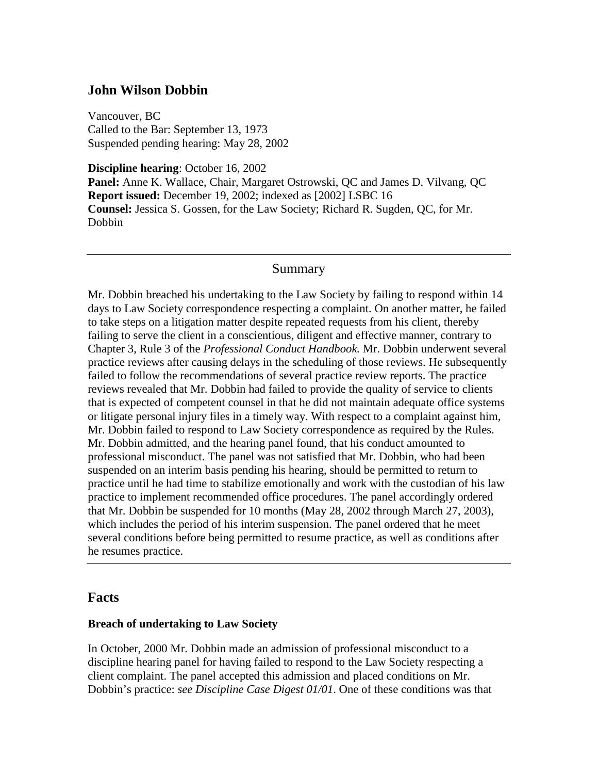## **John Wilson Dobbin**

Vancouver, BC Called to the Bar: September 13, 1973 Suspended pending hearing: May 28, 2002

**Discipline hearing**: October 16, 2002 **Panel:** Anne K. Wallace, Chair, Margaret Ostrowski, QC and James D. Vilvang, QC **Report issued:** December 19, 2002; indexed as [2002] LSBC 16 **Counsel:** Jessica S. Gossen, for the Law Society; Richard R. Sugden, QC, for Mr. Dobbin

### Summary

Mr. Dobbin breached his undertaking to the Law Society by failing to respond within 14 days to Law Society correspondence respecting a complaint. On another matter, he failed to take steps on a litigation matter despite repeated requests from his client, thereby failing to serve the client in a conscientious, diligent and effective manner, contrary to Chapter 3, Rule 3 of the *Professional Conduct Handbook.* Mr. Dobbin underwent several practice reviews after causing delays in the scheduling of those reviews. He subsequently failed to follow the recommendations of several practice review reports. The practice reviews revealed that Mr. Dobbin had failed to provide the quality of service to clients that is expected of competent counsel in that he did not maintain adequate office systems or litigate personal injury files in a timely way. With respect to a complaint against him, Mr. Dobbin failed to respond to Law Society correspondence as required by the Rules. Mr. Dobbin admitted, and the hearing panel found, that his conduct amounted to professional misconduct. The panel was not satisfied that Mr. Dobbin, who had been suspended on an interim basis pending his hearing, should be permitted to return to practice until he had time to stabilize emotionally and work with the custodian of his law practice to implement recommended office procedures. The panel accordingly ordered that Mr. Dobbin be suspended for 10 months (May 28, 2002 through March 27, 2003), which includes the period of his interim suspension. The panel ordered that he meet several conditions before being permitted to resume practice, as well as conditions after he resumes practice.

### **Facts**

#### **Breach of undertaking to Law Society**

In October, 2000 Mr. Dobbin made an admission of professional misconduct to a discipline hearing panel for having failed to respond to the Law Society respecting a client complaint. The panel accepted this admission and placed conditions on Mr. Dobbin's practice: *see Discipline Case Digest 01/01*. One of these conditions was that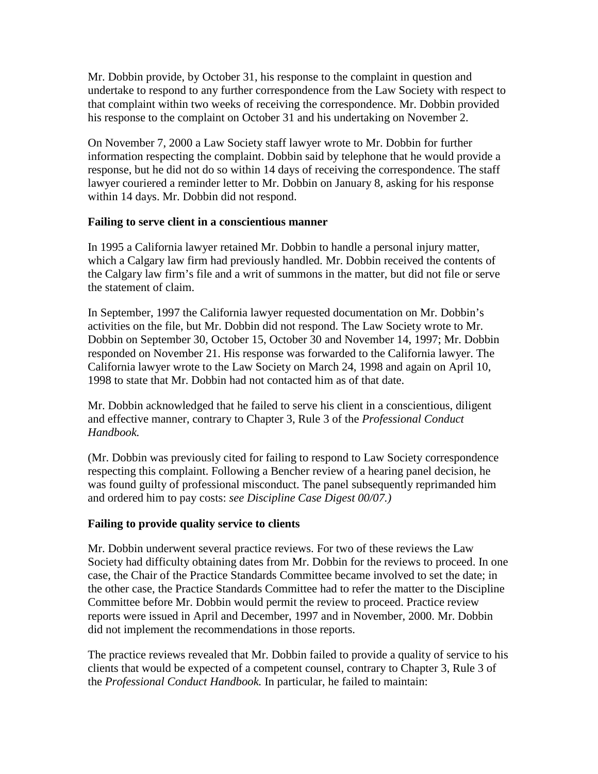Mr. Dobbin provide, by October 31, his response to the complaint in question and undertake to respond to any further correspondence from the Law Society with respect to that complaint within two weeks of receiving the correspondence. Mr. Dobbin provided his response to the complaint on October 31 and his undertaking on November 2.

On November 7, 2000 a Law Society staff lawyer wrote to Mr. Dobbin for further information respecting the complaint. Dobbin said by telephone that he would provide a response, but he did not do so within 14 days of receiving the correspondence. The staff lawyer couriered a reminder letter to Mr. Dobbin on January 8, asking for his response within 14 days. Mr. Dobbin did not respond.

#### **Failing to serve client in a conscientious manner**

In 1995 a California lawyer retained Mr. Dobbin to handle a personal injury matter, which a Calgary law firm had previously handled. Mr. Dobbin received the contents of the Calgary law firm's file and a writ of summons in the matter, but did not file or serve the statement of claim.

In September, 1997 the California lawyer requested documentation on Mr. Dobbin's activities on the file, but Mr. Dobbin did not respond. The Law Society wrote to Mr. Dobbin on September 30, October 15, October 30 and November 14, 1997; Mr. Dobbin responded on November 21. His response was forwarded to the California lawyer. The California lawyer wrote to the Law Society on March 24, 1998 and again on April 10, 1998 to state that Mr. Dobbin had not contacted him as of that date.

Mr. Dobbin acknowledged that he failed to serve his client in a conscientious, diligent and effective manner, contrary to Chapter 3, Rule 3 of the *Professional Conduct Handbook.*

(Mr. Dobbin was previously cited for failing to respond to Law Society correspondence respecting this complaint. Following a Bencher review of a hearing panel decision, he was found guilty of professional misconduct. The panel subsequently reprimanded him and ordered him to pay costs: *see Discipline Case Digest 00/07.)*

### **Failing to provide quality service to clients**

Mr. Dobbin underwent several practice reviews. For two of these reviews the Law Society had difficulty obtaining dates from Mr. Dobbin for the reviews to proceed. In one case, the Chair of the Practice Standards Committee became involved to set the date; in the other case, the Practice Standards Committee had to refer the matter to the Discipline Committee before Mr. Dobbin would permit the review to proceed. Practice review reports were issued in April and December, 1997 and in November, 2000. Mr. Dobbin did not implement the recommendations in those reports.

The practice reviews revealed that Mr. Dobbin failed to provide a quality of service to his clients that would be expected of a competent counsel, contrary to Chapter 3, Rule 3 of the *Professional Conduct Handbook.* In particular, he failed to maintain: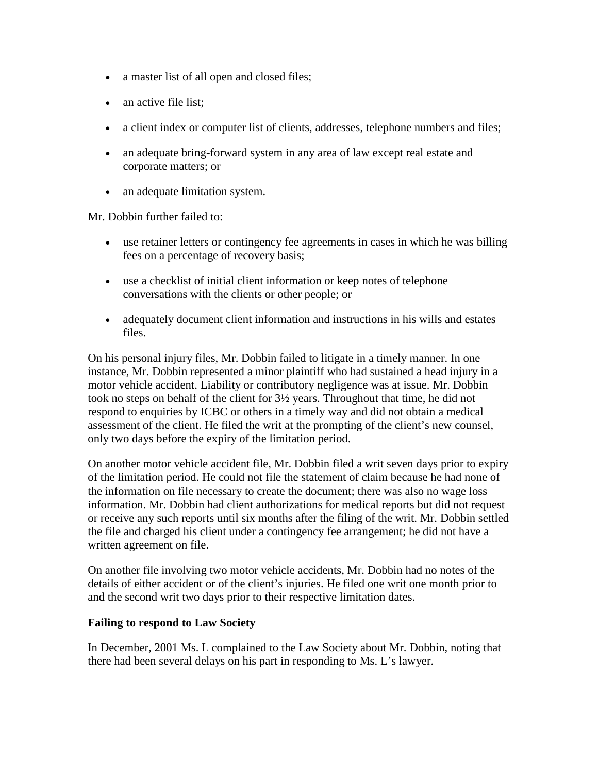- a master list of all open and closed files;
- an active file list;
- a client index or computer list of clients, addresses, telephone numbers and files;
- an adequate bring-forward system in any area of law except real estate and corporate matters; or
- an adequate limitation system.

Mr. Dobbin further failed to:

- use retainer letters or contingency fee agreements in cases in which he was billing fees on a percentage of recovery basis;
- use a checklist of initial client information or keep notes of telephone conversations with the clients or other people; or
- adequately document client information and instructions in his wills and estates files.

On his personal injury files, Mr. Dobbin failed to litigate in a timely manner. In one instance, Mr. Dobbin represented a minor plaintiff who had sustained a head injury in a motor vehicle accident. Liability or contributory negligence was at issue. Mr. Dobbin took no steps on behalf of the client for 3½ years. Throughout that time, he did not respond to enquiries by ICBC or others in a timely way and did not obtain a medical assessment of the client. He filed the writ at the prompting of the client's new counsel, only two days before the expiry of the limitation period.

On another motor vehicle accident file, Mr. Dobbin filed a writ seven days prior to expiry of the limitation period. He could not file the statement of claim because he had none of the information on file necessary to create the document; there was also no wage loss information. Mr. Dobbin had client authorizations for medical reports but did not request or receive any such reports until six months after the filing of the writ. Mr. Dobbin settled the file and charged his client under a contingency fee arrangement; he did not have a written agreement on file.

On another file involving two motor vehicle accidents, Mr. Dobbin had no notes of the details of either accident or of the client's injuries. He filed one writ one month prior to and the second writ two days prior to their respective limitation dates.

#### **Failing to respond to Law Society**

In December, 2001 Ms. L complained to the Law Society about Mr. Dobbin, noting that there had been several delays on his part in responding to Ms. L's lawyer.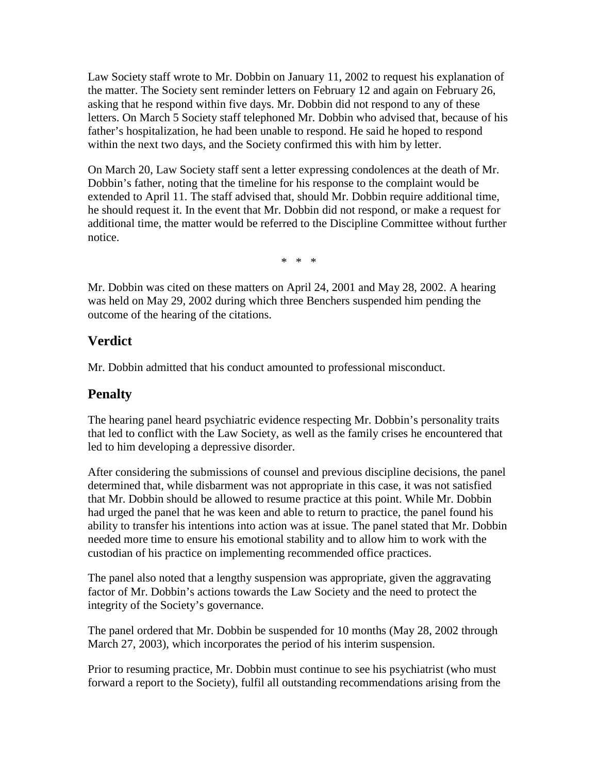Law Society staff wrote to Mr. Dobbin on January 11, 2002 to request his explanation of the matter. The Society sent reminder letters on February 12 and again on February 26, asking that he respond within five days. Mr. Dobbin did not respond to any of these letters. On March 5 Society staff telephoned Mr. Dobbin who advised that, because of his father's hospitalization, he had been unable to respond. He said he hoped to respond within the next two days, and the Society confirmed this with him by letter.

On March 20, Law Society staff sent a letter expressing condolences at the death of Mr. Dobbin's father, noting that the timeline for his response to the complaint would be extended to April 11. The staff advised that, should Mr. Dobbin require additional time, he should request it. In the event that Mr. Dobbin did not respond, or make a request for additional time, the matter would be referred to the Discipline Committee without further notice.

\* \* \*

Mr. Dobbin was cited on these matters on April 24, 2001 and May 28, 2002. A hearing was held on May 29, 2002 during which three Benchers suspended him pending the outcome of the hearing of the citations.

## **Verdict**

Mr. Dobbin admitted that his conduct amounted to professional misconduct.

# **Penalty**

The hearing panel heard psychiatric evidence respecting Mr. Dobbin's personality traits that led to conflict with the Law Society, as well as the family crises he encountered that led to him developing a depressive disorder.

After considering the submissions of counsel and previous discipline decisions, the panel determined that, while disbarment was not appropriate in this case, it was not satisfied that Mr. Dobbin should be allowed to resume practice at this point. While Mr. Dobbin had urged the panel that he was keen and able to return to practice, the panel found his ability to transfer his intentions into action was at issue. The panel stated that Mr. Dobbin needed more time to ensure his emotional stability and to allow him to work with the custodian of his practice on implementing recommended office practices.

The panel also noted that a lengthy suspension was appropriate, given the aggravating factor of Mr. Dobbin's actions towards the Law Society and the need to protect the integrity of the Society's governance.

The panel ordered that Mr. Dobbin be suspended for 10 months (May 28, 2002 through March 27, 2003), which incorporates the period of his interim suspension.

Prior to resuming practice, Mr. Dobbin must continue to see his psychiatrist (who must forward a report to the Society), fulfil all outstanding recommendations arising from the